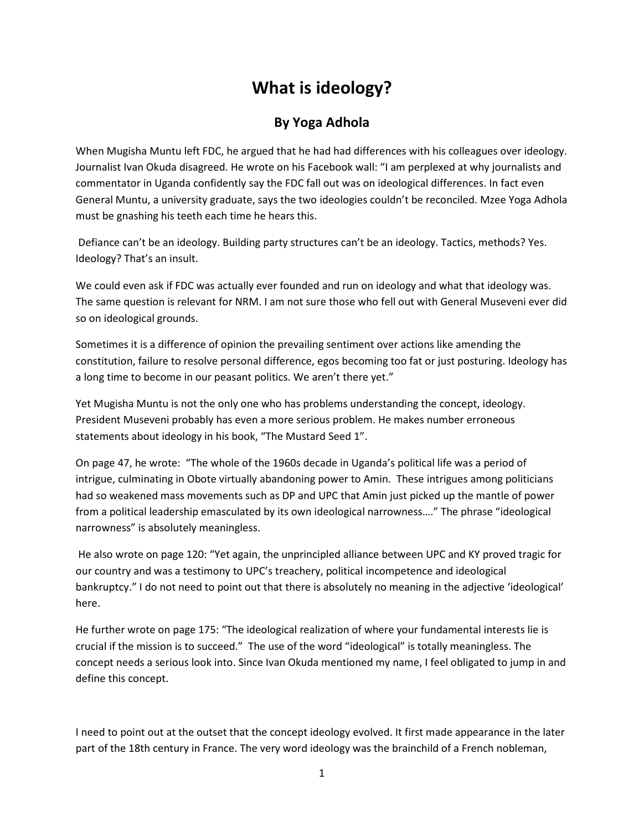## **What is ideology?**

## **By Yoga Adhola**

When Mugisha Muntu left FDC, he argued that he had had differences with his colleagues over ideology. Journalist Ivan Okuda disagreed. He wrote on his Facebook wall: "I am perplexed at why journalists and commentator in Uganda confidently say the FDC fall out was on ideological differences. In fact even General Muntu, a university graduate, says the two ideologies couldn't be reconciled. Mzee Yoga Adhola must be gnashing his teeth each time he hears this.

 Defiance can't be an ideology. Building party structures can't be an ideology. Tactics, methods? Yes. Ideology? That's an insult.

We could even ask if FDC was actually ever founded and run on ideology and what that ideology was. The same question is relevant for NRM. I am not sure those who fell out with General Museveni ever did so on ideological grounds.

Sometimes it is a difference of opinion the prevailing sentiment over actions like amending the constitution, failure to resolve personal difference, egos becoming too fat or just posturing. Ideology has a long time to become in our peasant politics. We aren't there yet."

Yet Mugisha Muntu is not the only one who has problems understanding the concept, ideology. President Museveni probably has even a more serious problem. He makes number erroneous statements about ideology in his book, "The Mustard Seed 1".

On page 47, he wrote: "The whole of the 1960s decade in Uganda's political life was a period of intrigue, culminating in Obote virtually abandoning power to Amin. These intrigues among politicians had so weakened mass movements such as DP and UPC that Amin just picked up the mantle of power from a political leadership emasculated by its own ideological narrowness…." The phrase "ideological narrowness" is absolutely meaningless.

 He also wrote on page 120: "Yet again, the unprincipled alliance between UPC and KY proved tragic for our country and was a testimony to UPC's treachery, political incompetence and ideological bankruptcy." I do not need to point out that there is absolutely no meaning in the adjective 'ideological' here.

He further wrote on page 175: "The ideological realization of where your fundamental interests lie is crucial if the mission is to succeed." The use of the word "ideological" is totally meaningless. The concept needs a serious look into. Since Ivan Okuda mentioned my name, I feel obligated to jump in and define this concept.

I need to point out at the outset that the concept ideology evolved. It first made appearance in the later part of the 18th century in France. The very word ideology was the brainchild of a French nobleman,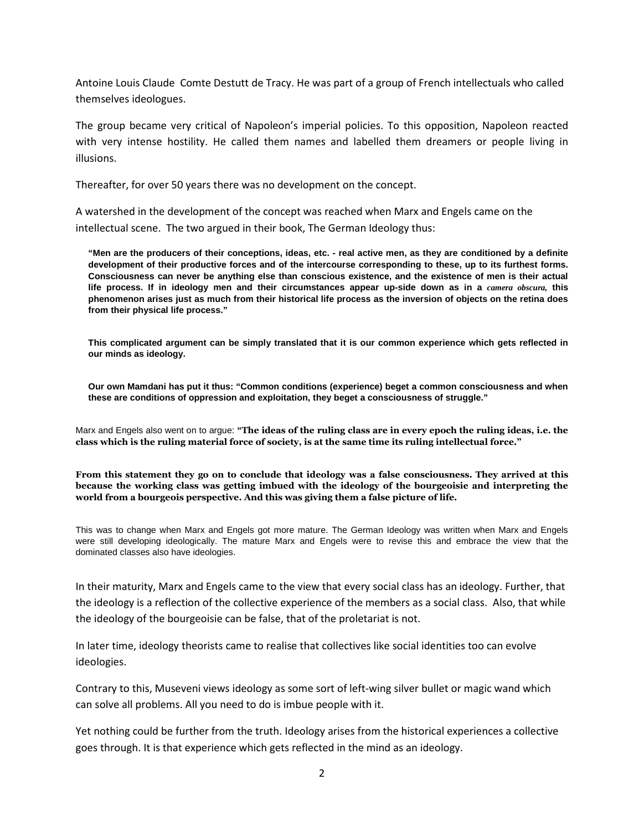Antoine Louis Claude Comte Destutt de Tracy. He was part of a group of French intellectuals who called themselves ideologues.

The group became very critical of Napoleon's imperial policies. To this opposition, Napoleon reacted with very intense hostility. He called them names and labelled them dreamers or people living in illusions.

Thereafter, for over 50 years there was no development on the concept.

A watershed in the development of the concept was reached when Marx and Engels came on the intellectual scene. The two argued in their book, The German Ideology thus:

**"Men are the producers of their conceptions, ideas, etc. - real active men, as they are conditioned by a definite development of their productive forces and of the intercourse corresponding to these, up to its furthest forms. Consciousness can never be anything else than conscious existence, and the existence of men is their actual life process. If in ideology men and their circumstances appear up-side down as in a** *camera obscura,* **this phenomenon arises just as much from their historical life process as the inversion of objects on the retina does from their physical life process."** 

**This complicated argument can be simply translated that it is our common experience which gets reflected in our minds as ideology.** 

**Our own Mamdani has put it thus: "Common conditions (experience) beget a common consciousness and when these are conditions of oppression and exploitation, they beget a consciousness of struggle."** 

Marx and Engels also went on to argue: **"The ideas of the ruling class are in every epoch the ruling ideas, i.e. the class which is the ruling material force of society, is at the same time its ruling intellectual force."** 

**From this statement they go on to conclude that ideology was a false consciousness. They arrived at this because the working class was getting imbued with the ideology of the bourgeoisie and interpreting the world from a bourgeois perspective. And this was giving them a false picture of life.** 

This was to change when Marx and Engels got more mature. The German Ideology was written when Marx and Engels were still developing ideologically. The mature Marx and Engels were to revise this and embrace the view that the dominated classes also have ideologies.

In their maturity, Marx and Engels came to the view that every social class has an ideology. Further, that the ideology is a reflection of the collective experience of the members as a social class. Also, that while the ideology of the bourgeoisie can be false, that of the proletariat is not.

In later time, ideology theorists came to realise that collectives like social identities too can evolve ideologies.

Contrary to this, Museveni views ideology as some sort of left-wing silver bullet or magic wand which can solve all problems. All you need to do is imbue people with it.

Yet nothing could be further from the truth. Ideology arises from the historical experiences a collective goes through. It is that experience which gets reflected in the mind as an ideology.